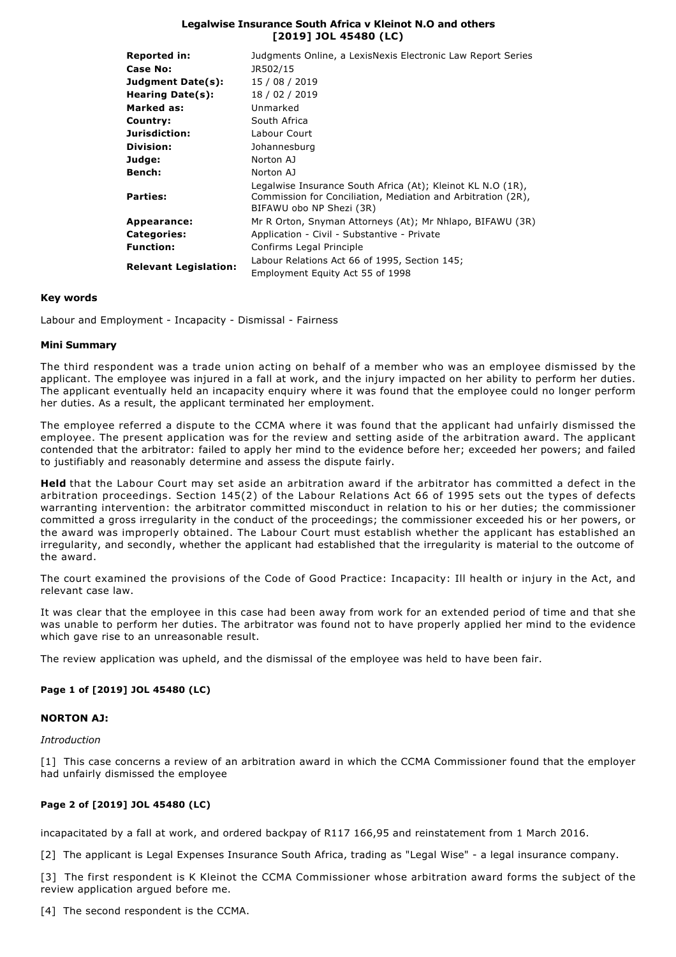## **Legalwise Insurance South Africa v Kleinot N.O and others [2019] JOL 45480 (LC)**

| <b>Reported in:</b>          | Judgments Online, a LexisNexis Electronic Law Report Series                                                                                             |
|------------------------------|---------------------------------------------------------------------------------------------------------------------------------------------------------|
| Case No:                     | JR502/15                                                                                                                                                |
| Judgment Date(s):            | 15 / 08 / 2019                                                                                                                                          |
| Hearing Date(s):             | 18 / 02 / 2019                                                                                                                                          |
| Marked as:                   | Unmarked                                                                                                                                                |
| Country:                     | South Africa                                                                                                                                            |
| Jurisdiction:                | Labour Court                                                                                                                                            |
| Division:                    | Johannesburg                                                                                                                                            |
| Judge:                       | Norton AJ                                                                                                                                               |
| Bench:                       | Norton AJ                                                                                                                                               |
| <b>Parties:</b>              | Legalwise Insurance South Africa (At); Kleinot KL N.O (1R),<br>Commission for Conciliation, Mediation and Arbitration (2R),<br>BIFAWU obo NP Shezi (3R) |
| Appearance:                  | Mr R Orton, Snyman Attorneys (At); Mr Nhlapo, BIFAWU (3R)                                                                                               |
| <b>Categories:</b>           | Application - Civil - Substantive - Private                                                                                                             |
| <b>Function:</b>             | Confirms Legal Principle                                                                                                                                |
| <b>Relevant Legislation:</b> | Labour Relations Act 66 of 1995, Section 145;                                                                                                           |
|                              | Employment Equity Act 55 of 1998                                                                                                                        |

## **Key words**

Labour and Employment - Incapacity - Dismissal - Fairness

## **Mini Summary**

The third respondent was a trade union acting on behalf of a member who was an employee dismissed by the applicant. The employee was injured in a fall at work, and the injury impacted on her ability to perform her duties. The applicant eventually held an incapacity enquiry where it was found that the employee could no longer perform her duties. As a result, the applicant terminated her employment.

The employee referred a dispute to the CCMA where it was found that the applicant had unfairly dismissed the employee. The present application was for the review and setting aside of the arbitration award. The applicant contended that the arbitrator: failed to apply her mind to the evidence before her; exceeded her powers; and failed to justifiably and reasonably determine and assess the dispute fairly.

**Held** that the Labour Court may set aside an arbitration award if the arbitrator has committed a defect in the arbitration proceedings. Section 145(2) of the Labour Relations Act 66 of 1995 sets out the types of defects warranting intervention: the arbitrator committed misconduct in relation to his or her duties; the commissioner committed a gross irregularity in the conduct of the proceedings; the commissioner exceeded his or her powers, or the award was improperly obtained. The Labour Court must establish whether the applicant has established an irregularity, and secondly, whether the applicant had established that the irregularity is material to the outcome of the award.

The court examined the provisions of the Code of Good Practice: Incapacity: Ill health or injury in the Act, and relevant case law.

It was clear that the employee in this case had been away from work for an extended period of time and that she was unable to perform her duties. The arbitrator was found not to have properly applied her mind to the evidence which gave rise to an unreasonable result.

The review application was upheld, and the dismissal of the employee was held to have been fair.

# **Page 1 of [2019] JOL 45480 (LC)**

## **NORTON AJ:**

*Introduction*

[1] This case concerns a review of an arbitration award in which the CCMA Commissioner found that the employer had unfairly dismissed the employee

# **Page 2 of [2019] JOL 45480 (LC)**

incapacitated by a fall at work, and ordered backpay of R117 166,95 and reinstatement from 1 March 2016.

[2] The applicant is Legal Expenses Insurance South Africa, trading as "Legal Wise" - a legal insurance company.

[3] The first respondent is K Kleinot the CCMA Commissioner whose arbitration award forms the subject of the review application argued before me.

[4] The second respondent is the CCMA.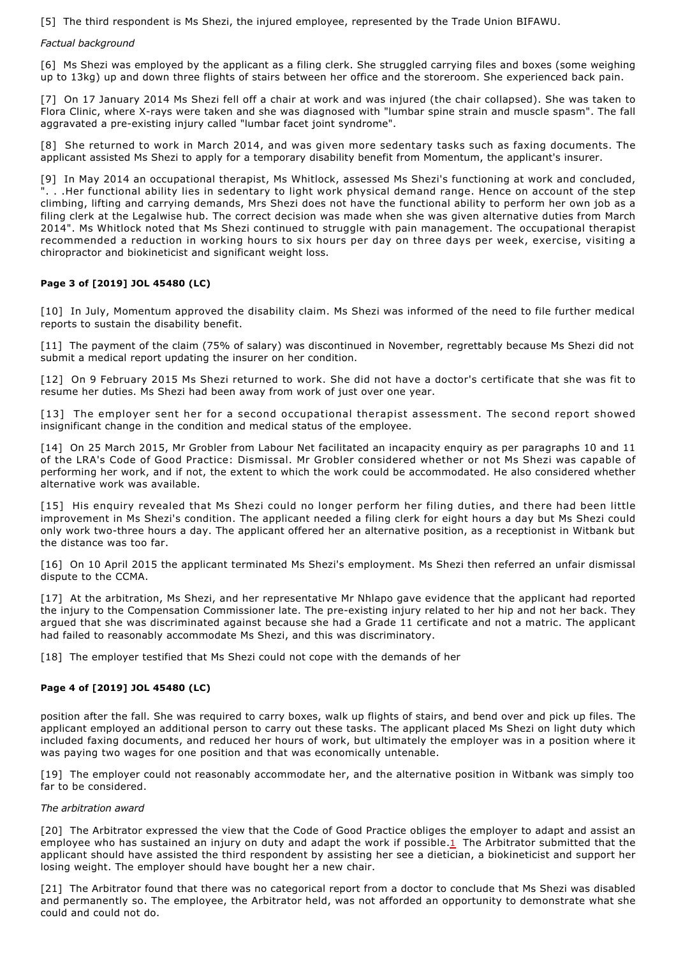[5] The third respondent is Ms Shezi, the injured employee, represented by the Trade Union BIFAWU.

## *Factual background*

[6] Ms Shezi was employed by the applicant as a filing clerk. She struggled carrying files and boxes (some weighing up to 13kg) up and down three flights of stairs between her office and the storeroom. She experienced back pain.

[7] On 17 January 2014 Ms Shezi fell off a chair at work and was injured (the chair collapsed). She was taken to Flora Clinic, where X-rays were taken and she was diagnosed with "lumbar spine strain and muscle spasm". The fall aggravated a pre-existing injury called "lumbar facet joint syndrome".

[8] She returned to work in March 2014, and was given more sedentary tasks such as faxing documents. The applicant assisted Ms Shezi to apply for a temporary disability benefit from Momentum, the applicant's insurer.

[9] In May 2014 an occupational therapist, Ms Whitlock, assessed Ms Shezi's functioning at work and concluded, ". . .Her functional ability lies in sedentary to light work physical demand range. Hence on account of the step climbing, lifting and carrying demands, Mrs Shezi does not have the functional ability to perform her own job as a filing clerk at the Legalwise hub. The correct decision was made when she was given alternative duties from March 2014". Ms Whitlock noted that Ms Shezi continued to struggle with pain management. The occupational therapist recommended a reduction in working hours to six hours per day on three days per week, exercise, visiting a chiropractor and biokineticist and significant weight loss.

# **Page 3 of [2019] JOL 45480 (LC)**

[10] In July, Momentum approved the disability claim. Ms Shezi was informed of the need to file further medical reports to sustain the disability benefit.

[11] The payment of the claim (75% of salary) was discontinued in November, regrettably because Ms Shezi did not submit a medical report updating the insurer on her condition.

[12] On 9 February 2015 Ms Shezi returned to work. She did not have a doctor's certificate that she was fit to resume her duties. Ms Shezi had been away from work of just over one year.

[13] The employer sent her for a second occupational therapist assessment. The second report showed insignificant change in the condition and medical status of the employee.

[14] On 25 March 2015, Mr Grobler from Labour Net facilitated an incapacity enquiry as per paragraphs 10 and 11 of the LRA's Code of Good Practice: Dismissal. Mr Grobler considered whether or not Ms Shezi was capable of performing her work, and if not, the extent to which the work could be accommodated. He also considered whether alternative work was available.

[15] His enquiry revealed that Ms Shezi could no longer perform her filing duties, and there had been little improvement in Ms Shezi's condition. The applicant needed a filing clerk for eight hours a day but Ms Shezi could only work two-three hours a day. The applicant offered her an alternative position, as a receptionist in Witbank but the distance was too far.

[16] On 10 April 2015 the applicant terminated Ms Shezi's employment. Ms Shezi then referred an unfair dismissal dispute to the CCMA.

[17] At the arbitration, Ms Shezi, and her representative Mr Nhlapo gave evidence that the applicant had reported the injury to the Compensation Commissioner late. The pre-existing injury related to her hip and not her back. They argued that she was discriminated against because she had a Grade 11 certificate and not a matric. The applicant had failed to reasonably accommodate Ms Shezi, and this was discriminatory.

[18] The employer testified that Ms Shezi could not cope with the demands of her

## **Page 4 of [2019] JOL 45480 (LC)**

position after the fall. She was required to carry boxes, walk up flights of stairs, and bend over and pick up files. The applicant employed an additional person to carry out these tasks. The applicant placed Ms Shezi on light duty which included faxing documents, and reduced her hours of work, but ultimately the employer was in a position where it was paying two wages for one position and that was economically untenable.

[19] The employer could not reasonably accommodate her, and the alternative position in Witbank was simply too far to be considered.

## *The arbitration award*

[20] The Arbitrator expressed the view that the Code of Good Practice obliges the employer to adapt and assist an employee who has sustained an injury on duty and adapt the work if possible.1 The Arbitrator submitted that the applicant should have assisted the third respondent by assisting her see a dietician, a biokineticist and support her losing weight. The employer should have bought her a new chair.

[21] The Arbitrator found that there was no categorical report from a doctor to conclude that Ms Shezi was disabled and permanently so. The employee, the Arbitrator held, was not afforded an opportunity to demonstrate what she could and could not do.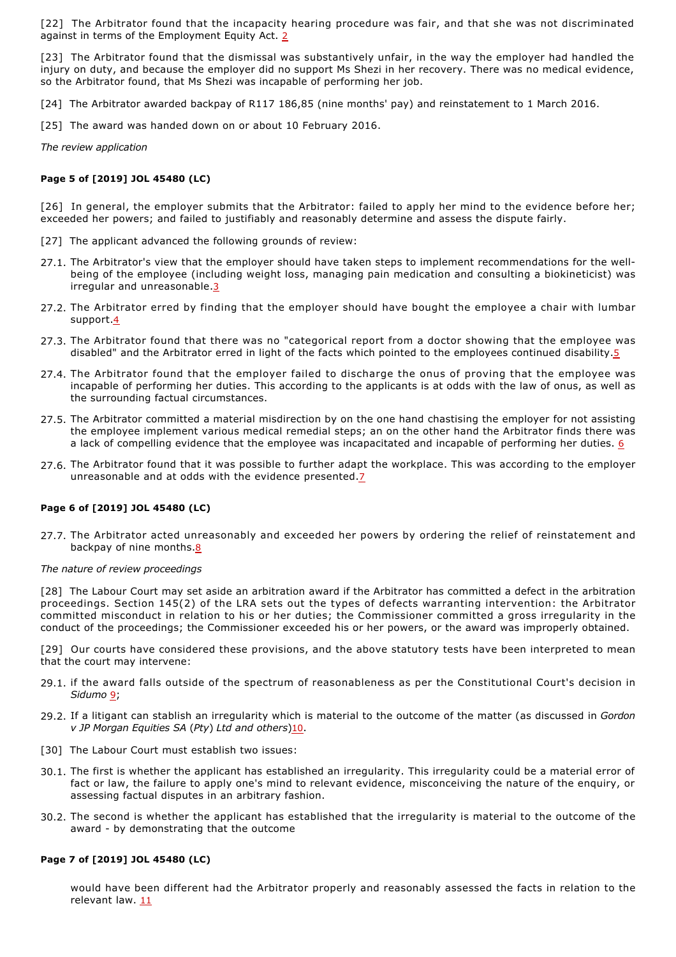[22] The Arbitrator found that the incapacity hearing procedure was fair, and that she was not discriminated against in terms of the Employment Equity Act. 2

[23] The Arbitrator found that the dismissal was substantively unfair, in the way the employer had handled the injury on duty, and because the employer did no support Ms Shezi in her recovery. There was no medical evidence, so the Arbitrator found, that Ms Shezi was incapable of performing her job.

[24] The Arbitrator awarded backpay of R117 186,85 (nine months' pay) and reinstatement to 1 March 2016.

[25] The award was handed down on or about 10 February 2016.

*The review application*

### **Page 5 of [2019] JOL 45480 (LC)**

[26] In general, the employer submits that the Arbitrator: failed to apply her mind to the evidence before her; exceeded her powers; and failed to justifiably and reasonably determine and assess the dispute fairly.

- [27] The applicant advanced the following grounds of review:
- 27.1. The Arbitrator's view that the employer should have taken steps to implement recommendations for the wellbeing of the employee (including weight loss, managing pain medication and consulting a biokineticist) was irregular and unreasonable.3
- 27.2. The Arbitrator erred by finding that the employer should have bought the employee a chair with lumbar support.4
- 27.3. The Arbitrator found that there was no "categorical report from a doctor showing that the employee was disabled" and the Arbitrator erred in light of the facts which pointed to the employees continued disability.5
- 27.4. The Arbitrator found that the employer failed to discharge the onus of proving that the employee was incapable of performing her duties. This according to the applicants is at odds with the law of onus, as well as the surrounding factual circumstances.
- 27.5. The Arbitrator committed a material misdirection by on the one hand chastising the employer for not assisting the employee implement various medical remedial steps; an on the other hand the Arbitrator finds there was a lack of compelling evidence that the employee was incapacitated and incapable of performing her duties. 6
- 27.6. The Arbitrator found that it was possible to further adapt the workplace. This was according to the employer unreasonable and at odds with the evidence presented.<sup>7</sup>

## **Page 6 of [2019] JOL 45480 (LC)**

27.7. The Arbitrator acted unreasonably and exceeded her powers by ordering the relief of reinstatement and backpay of nine months.8

### *The nature of review proceedings*

[28] The Labour Court may set aside an arbitration award if the Arbitrator has committed a defect in the arbitration proceedings. Section 145(2) of the LRA sets out the types of defects warranting intervention: the Arbitrator committed misconduct in relation to his or her duties; the Commissioner committed a gross irregularity in the conduct of the proceedings; the Commissioner exceeded his or her powers, or the award was improperly obtained.

[29] Our courts have considered these provisions, and the above statutory tests have been interpreted to mean that the court may intervene:

- 29.1. if the award falls outside of the spectrum of reasonableness as per the Constitutional Court's decision in *Sidumo* 9;
- 29.2. If a litigant can stablish an irregularity which is material to the outcome of the matter (as discussed in *Gordon v JP Morgan Equities SA* (*Pty*) *Ltd and others*)10.
- [30] The Labour Court must establish two issues:
- 30.1. The first is whether the applicant has established an irregularity. This irregularity could be a material error of fact or law, the failure to apply one's mind to relevant evidence, misconceiving the nature of the enquiry, or assessing factual disputes in an arbitrary fashion.
- 30.2. The second is whether the applicant has established that the irregularity is material to the outcome of the award - by demonstrating that the outcome

#### **Page 7 of [2019] JOL 45480 (LC)**

would have been different had the Arbitrator properly and reasonably assessed the facts in relation to the relevant law. 11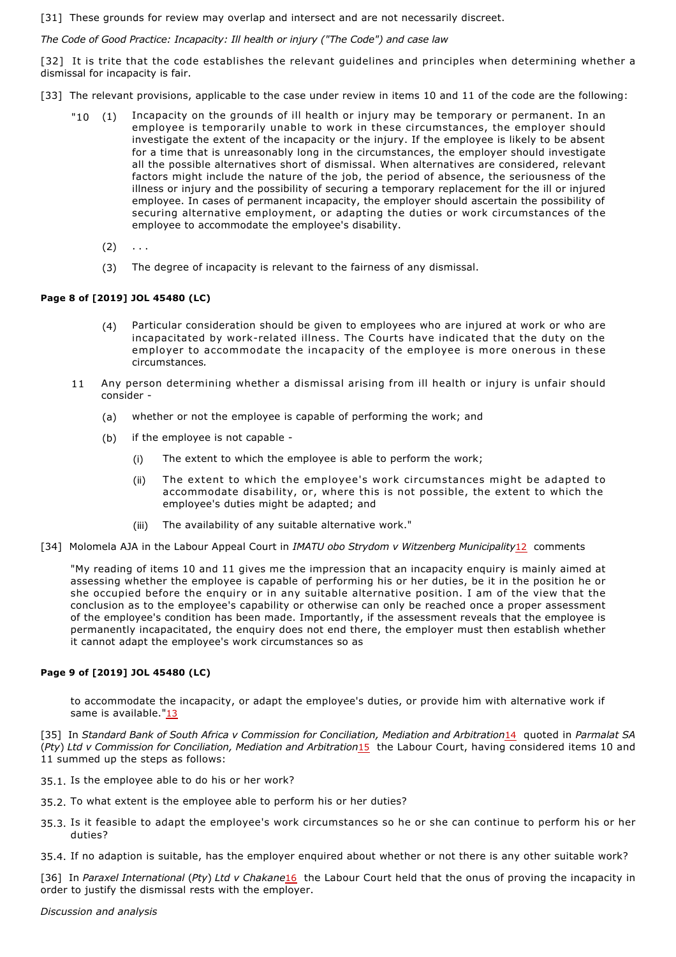[31] These grounds for review may overlap and intersect and are not necessarily discreet.

*The Code of Good Practice: Incapacity: Ill health or injury ("The Code") and case law*

[32] It is trite that the code establishes the relevant guidelines and principles when determining whether a dismissal for incapacity is fair.

[33] The relevant provisions, applicable to the case under review in items 10 and 11 of the code are the following:

- "10 (1) Incapacity on the grounds of ill health or injury may be temporary or permanent. In an employee is temporarily unable to work in these circumstances, the employer should investigate the extent of the incapacity or the injury. If the employee is likely to be absent for a time that is unreasonably long in the circumstances, the employer should investigate all the possible alternatives short of dismissal. When alternatives are considered, relevant factors might include the nature of the job, the period of absence, the seriousness of the illness or injury and the possibility of securing a temporary replacement for the ill or injured employee. In cases of permanent incapacity, the employer should ascertain the possibility of securing alternative employment, or adapting the duties or work circumstances of the employee to accommodate the employee's disability.
	- $(2) \ldots$
	- (3) The degree of incapacity is relevant to the fairness of any dismissal.

## **Page 8 of [2019] JOL 45480 (LC)**

- (4) Particular consideration should be given to employees who are injured at work or who are incapacitated by work-related illness. The Courts have indicated that the duty on the employer to accommodate the incapacity of the employee is more onerous in these circumstances*.*
- 11 Any person determining whether a dismissal arising from ill health or injury is unfair should consider
	- (a) whether or not the employee is capable of performing the work; and
	- (b) if the employee is not capable
		- (i) The extent to which the employee is able to perform the work;
		- (ii) The extent to which the employee's work circumstances might be adapted to accommodate disability, or, where this is not possible, the extent to which the employee's duties might be adapted; and
		- (iii) The availability of any suitable alternative work."
- [34] Molomela AJA in the Labour Appeal Court in *IMATU obo Strydom v Witzenberg Municipality*12 comments

"My reading of items 10 and 11 gives me the impression that an incapacity enquiry is mainly aimed at assessing whether the employee is capable of performing his or her duties, be it in the position he or she occupied before the enquiry or in any suitable alternative position. I am of the view that the conclusion as to the employee's capability or otherwise can only be reached once a proper assessment of the employee's condition has been made. Importantly, if the assessment reveals that the employee is permanently incapacitated, the enquiry does not end there, the employer must then establish whether it cannot adapt the employee's work circumstances so as

## **Page 9 of [2019] JOL 45480 (LC)**

to accommodate the incapacity, or adapt the employee's duties, or provide him with alternative work if same is available."13

[35] In *Standard Bank of South Africa v Commission for Conciliation, Mediation and Arbitration*14 quoted in *Parmalat SA* (*Pty*) *Ltd v Commission for Conciliation, Mediation and Arbitration*15 the Labour Court, having considered items 10 and 11 summed up the steps as follows:

- 35.1. Is the employee able to do his or her work?
- 35.2. To what extent is the employee able to perform his or her duties?
- 35.3. Is it feasible to adapt the employee's work circumstances so he or she can continue to perform his or her duties?

35.4. If no adaption is suitable, has the employer enquired about whether or not there is any other suitable work?

[36] In *Paraxel International* (*Pty*) *Ltd v Chakane*16 the Labour Court held that the onus of proving the incapacity in order to justify the dismissal rests with the employer.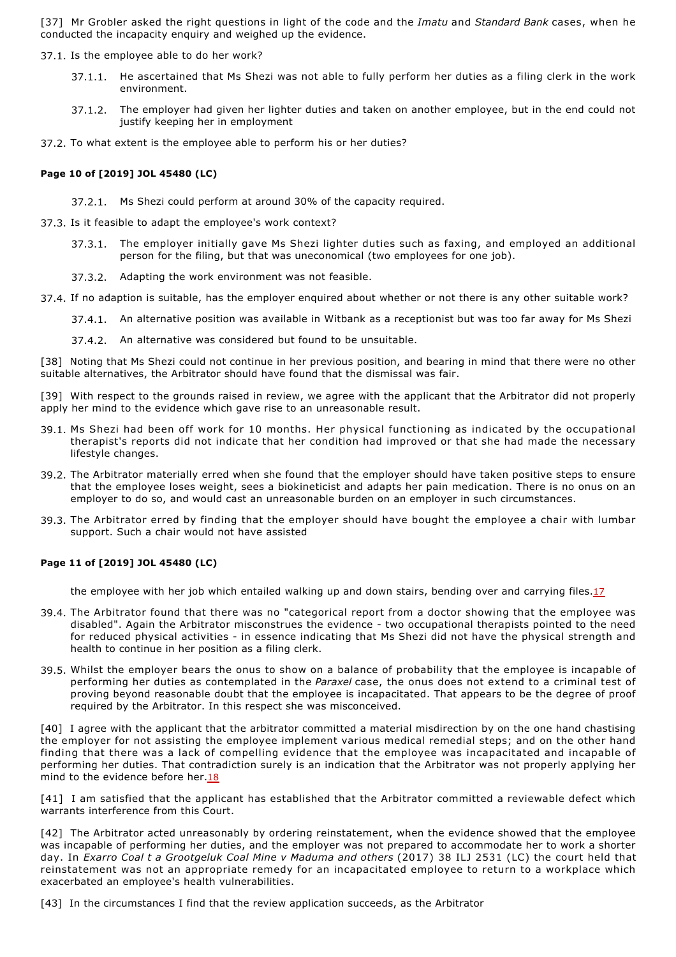[37] Mr Grobler asked the right questions in light of the code and the *Imatu* and *Standard Bank* cases, when he conducted the incapacity enquiry and weighed up the evidence.

37.1. Is the employee able to do her work?

- 37.1.1. He ascertained that Ms Shezi was not able to fully perform her duties as a filing clerk in the work environment.
- 37.1.2. The employer had given her lighter duties and taken on another employee, but in the end could not justify keeping her in employment

37.2. To what extent is the employee able to perform his or her duties?

## **Page 10 of [2019] JOL 45480 (LC)**

37.2.1. Ms Shezi could perform at around 30% of the capacity required.

37.3. Is it feasible to adapt the employee's work context?

- 37.3.1. The employer initially gave Ms Shezi lighter duties such as faxing, and employed an additional person for the filing, but that was uneconomical (two employees for one job).
- 37.3.2. Adapting the work environment was not feasible.
- 37.4. If no adaption is suitable, has the employer enquired about whether or not there is any other suitable work?
	- 37.4.1. An alternative position was available in Witbank as a receptionist but was too far away for Ms Shezi
	- 37.4.2. An alternative was considered but found to be unsuitable.

[38] Noting that Ms Shezi could not continue in her previous position, and bearing in mind that there were no other suitable alternatives, the Arbitrator should have found that the dismissal was fair.

- [39] With respect to the grounds raised in review, we agree with the applicant that the Arbitrator did not properly apply her mind to the evidence which gave rise to an unreasonable result.
- 39.1. Ms Shezi had been off work for 10 months. Her physical functioning as indicated by the occupational therapist's reports did not indicate that her condition had improved or that she had made the necessary lifestyle changes.
- 39.2. The Arbitrator materially erred when she found that the employer should have taken positive steps to ensure that the employee loses weight, sees a biokineticist and adapts her pain medication. There is no onus on an employer to do so, and would cast an unreasonable burden on an employer in such circumstances.
- 39.3. The Arbitrator erred by finding that the employer should have bought the employee a chair with lumbar support. Such a chair would not have assisted

## **Page 11 of [2019] JOL 45480 (LC)**

the employee with her job which entailed walking up and down stairs, bending over and carrying files.17

- 39.4. The Arbitrator found that there was no "categorical report from a doctor showing that the employee was disabled". Again the Arbitrator misconstrues the evidence two occupational therapists pointed to the need for reduced physical activities - in essence indicating that Ms Shezi did not have the physical strength and health to continue in her position as a filing clerk.
- 39.5. Whilst the employer bears the onus to show on a balance of probability that the employee is incapable of performing her duties as contemplated in the *Paraxel* case, the onus does not extend to a criminal test of proving beyond reasonable doubt that the employee is incapacitated. That appears to be the degree of proof required by the Arbitrator. In this respect she was misconceived.

[40] I agree with the applicant that the arbitrator committed a material misdirection by on the one hand chastising the employer for not assisting the employee implement various medical remedial steps; and on the other hand finding that there was a lack of compelling evidence that the employee was incapacitated and incapable of performing her duties. That contradiction surely is an indication that the Arbitrator was not properly applying her mind to the evidence before her.18

[41] I am satisfied that the applicant has established that the Arbitrator committed a reviewable defect which warrants interference from this Court.

[42] The Arbitrator acted unreasonably by ordering reinstatement, when the evidence showed that the employee was incapable of performing her duties, and the employer was not prepared to accommodate her to work a shorter day. In *Exarro Coal t a Grootgeluk Coal Mine v Maduma and others* (2017) 38 ILJ 2531 (LC) the court held that reinstatement was not an appropriate remedy for an incapacitated employee to return to a workplace which exacerbated an employee's health vulnerabilities.

[43] In the circumstances I find that the review application succeeds, as the Arbitrator